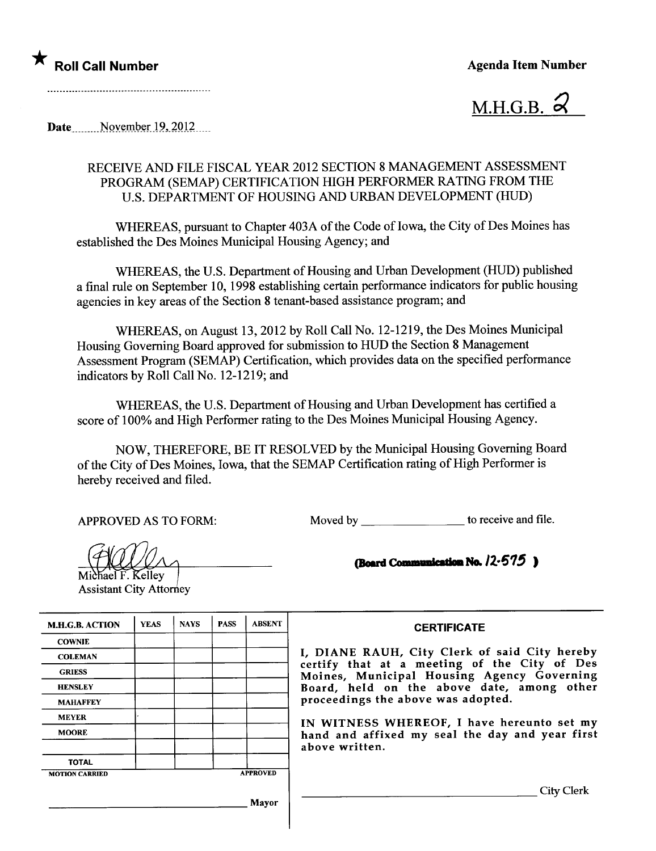



Date November  $19,2012$ 

## RECEIVE AND FILE FISCAL YEAR 2012 SECTION 8 MANAGEMENT ASSESSMENT PROGRAM (SEMAP) CERTIFICATION HIGH PERFORMER RATING FROM THE U.S. DEPARTMENT OF HOUSING AND URBAN DEVELOPMENT (HUD)

WHEREAS, pursuant to Chapter 403A of the Code of Iowa, the City of Des Moines has established the Des Moines Municipal Housing Agency; and

WHEREAS, the U.S. Department of Housing and Urban Development (HUD) published a final rule on September 10, 1998 establishing certain performance indicators for public housing agencies in key areas of the Section 8 tenant-based assistance program; and

WHEREAS, on August 13,2012 by Roll Call No. 12-1219, the Des Moines Municipal Housing Governing Board approved for submission to HUD the Section 8 Management Assessment Program (SEMAP) Certification, which provides data on the specified performance indicators by Roll Call No. 12-1219; and

WHEREAS, the U.S. Deparment of Housing and Urban Development has certified a score of 100% and High Performer rating to the Des Moines Municipal Housing Agency.

NOW, THEREFORE, BE IT RESOLVED by the Municipal Housing Governing Board of the City of Des Moines, Iowa, that the SEMAP Certification rating of High Performer is hereby received and filed.

APPROVED AS TO FORM: Moved by \_\_\_\_\_\_\_\_\_\_\_\_\_\_\_\_\_\_\_\_\_ to receive and file.

 $\begin{array}{c}\n\bigoplus\nolimits_{\text{Michael F.} \text{Kelley}}\n\bigoplus\nolimits_{\text{Assistant City} \text{Attorney}}\n\end{array}$ 

(Board Communication No.  $12-575$ )

| <b>M.H.G.B. ACTION</b> | <b>YEAS</b> | <b>NAYS</b> | <b>PASS</b>     | <b>ABSENT</b> |
|------------------------|-------------|-------------|-----------------|---------------|
| <b>COWNIE</b>          |             |             |                 |               |
| <b>COLEMAN</b>         |             |             |                 |               |
| <b>GRIESS</b>          |             |             |                 |               |
| <b>HENSLEY</b>         |             |             |                 |               |
| <b>MAHAFFEY</b>        |             |             |                 |               |
| <b>MEYER</b>           |             |             |                 |               |
| <b>MOORE</b>           |             |             |                 |               |
| <b>TOTAL</b>           |             |             |                 |               |
| <b>MOTION CARRIED</b>  |             |             | <b>APPROVED</b> |               |

Mayor

## **CERTIFICATE**

I, DIANE RAUH, City Clerk of said City hereby certify that at a meeting of the City of Des Moines, Municipal Housing Agency Governing Board, held on the above date, among other proceedings the above was adopted.

IN WITNESS WHEREOF, I have hereunto set my hand and affixed my seal the day and year first above written.

City Clerk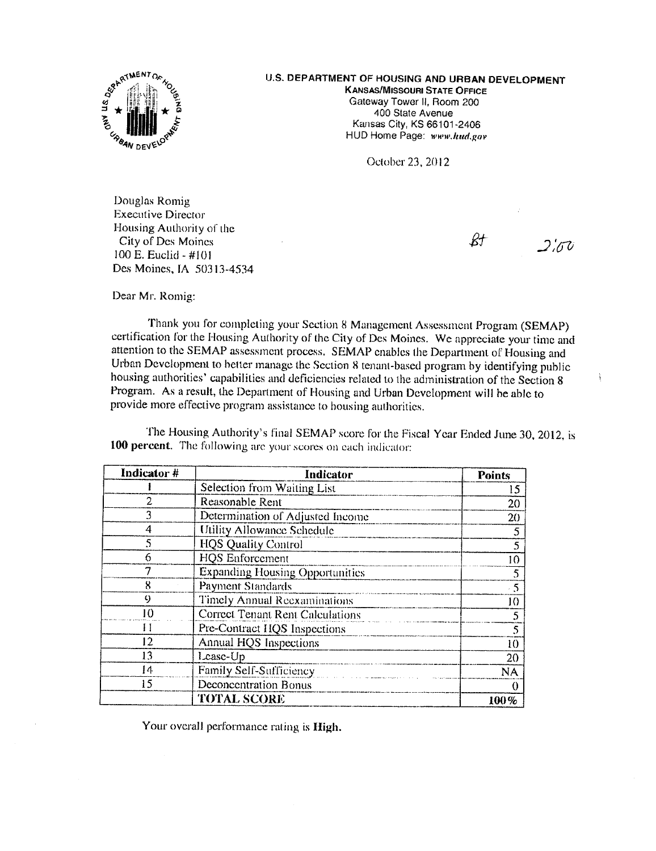

## U.S. DEPARTMENT OF HOUSING AND URBAN DEVELOPMENT

**KANSAS/MISSOURI STATE OFFICE** Gateway Tower II, Room 200 400 State Avenue Kansas City, KS 66101-2406 HUD Home Page: www.hud.gov

October 23, 2012

Douglas Romig **Executive Director** Housing Authority of the City of Des Moines 100 E. Euclid - #101 Des Moines, IA 50313-4534

 $\mathcal{R}+$  $2\frac{1}{2}$ 

ļ

Dear Mr. Romig:

Thank you for completing your Section 8 Management Assessment Program (SEMAP) certification for the Housing Authority of the City of Des Moines. We appreciate your time and attention to the SEMAP assessment process. SEMAP enables the Department of Housing and Urban Development to better manage the Section 8 tenant-based program by identifying public housing authorities' capabilities and deficiencies related to the administration of the Section 8 Program. As a result, the Department of Housing and Urban Development will be able to provide more effective program assistance to housing authorities.

The Housing Authority's final SEMAP score for the Fiscal Year Ended June 30, 2012, is 100 percent. The following are your scores on each indicator:

| Indicator# | Indicator                               | <b>Points</b> |
|------------|-----------------------------------------|---------------|
|            | Selection from Waiting List             | 15            |
| 2          | Reasonable Rent                         | 20            |
| 3          | Determination of Adjusted Income        | 20            |
| 4          | Utility Allowance Schedule              | 5             |
| 5          | <b>HQS Quality Control</b>              | 5             |
| 6          | <b>HQS</b> Enforcement                  | 10            |
|            | <b>Expanding Housing Opportunities</b>  | 5             |
| Χ          | Payment Standards                       | - 5           |
| 9          | Timely Annual Reexaminations            | 10            |
| IO)        | <b>Correct Tenant Rent Calculations</b> | 5             |
| Ħ          | Pre-Contract HQS Inspections            |               |
| 12         | Annual HQS Inspections                  | 10            |
| 13         | Lease-Up                                | 20            |
| 14         | Family Self-Sufficiency                 | <b>NA</b>     |
| 15         | Deconcentration Bonus                   |               |
|            | <b>TOTAL SCORE</b>                      | 100%          |

Your overall performance rating is High.